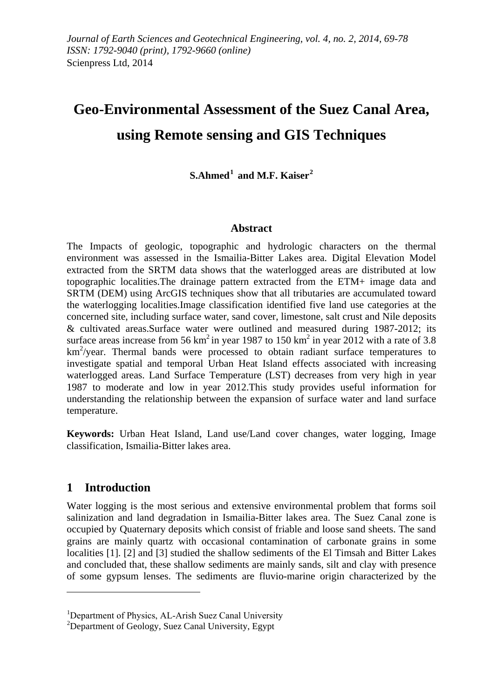# **Geo-Environmental Assessment of the Suez Canal Area, using Remote sensing and GIS Techniques**

**S.Ahmed[1](#page-0-0) and M.F. Kaiser[2](#page-0-1)**

### **Abstract**

The Impacts of geologic, topographic and hydrologic characters on the thermal environment was assessed in the Ismailia-Bitter Lakes area. Digital Elevation Model extracted from the SRTM data shows that the waterlogged areas are distributed at low topographic localities.The drainage pattern extracted from the ETM+ image data and SRTM (DEM) using ArcGIS techniques show that all tributaries are accumulated toward the waterlogging localities.Image classification identified five land use categories at the concerned site, including surface water, sand cover, limestone, salt crust and Nile deposits & cultivated areas.Surface water were outlined and measured during 1987-2012; its surface areas increase from 56 km<sup>2</sup> in year 1987 to 150 km<sup>2</sup> in year 2012 with a rate of 3.8  $km^2$ /year. Thermal bands were processed to obtain radiant surface temperatures to investigate spatial and temporal Urban Heat Island effects associated with increasing waterlogged areas. Land Surface Temperature (LST) decreases from very high in year 1987 to moderate and low in year 2012.This study provides useful information for understanding the relationship between the expansion of surface water and land surface temperature.

**Keywords:** Urban Heat Island, Land use/Land cover changes, water logging, Image classification, Ismailia-Bitter lakes area.

## **1 Introduction**

Water logging is the most serious and extensive environmental problem that forms soil salinization and land degradation in Ismailia-Bitter lakes area. The Suez Canal zone is occupied by Quaternary deposits which consist of friable and loose sand sheets. The sand grains are mainly quartz with occasional contamination of carbonate grains in some localities [1]. [2] and [3] studied the shallow sediments of the El Timsah and Bitter Lakes and concluded that, these shallow sediments are mainly sands, silt and clay with presence of some gypsum lenses. The sediments are fluvio-marine origin characterized by the

<span id="page-0-0"></span><sup>&</sup>lt;sup>1</sup>Department of Physics, AL-Arish Suez Canal University

<span id="page-0-1"></span> $2$ Department of Geology, Suez Canal University, Egypt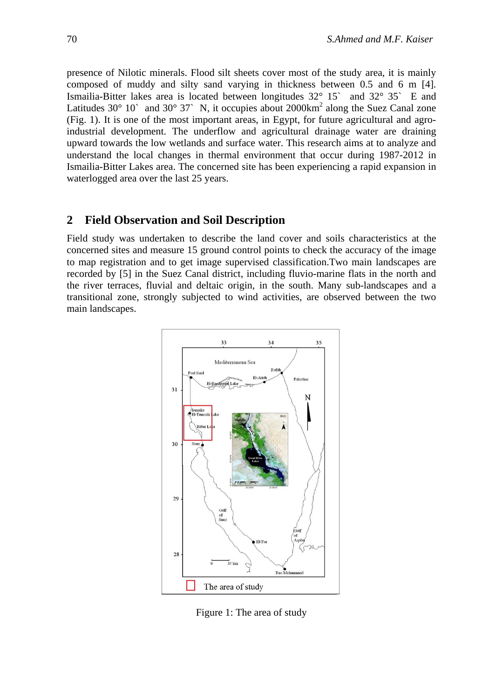presence of Nilotic minerals. Flood silt sheets cover most of the study area, it is mainly composed of muddy and silty sand varying in thickness between 0.5 and 6 m [4]. Ismailia-Bitter lakes area is located between longitudes 32° 15` and 32° 35` E and Latitudes 30 $^{\circ}$  10<sup>o</sup> and 30 $^{\circ}$  37<sup>o</sup> N, it occupies about 2000km<sup>2</sup> along the Suez Canal zone (Fig. 1). It is one of the most important areas, in Egypt, for future agricultural and agroindustrial development. The underflow and agricultural drainage water are draining upward towards the low wetlands and surface water. This research aims at to analyze and understand the local changes in thermal environment that occur during 1987-2012 in Ismailia-Bitter Lakes area. The concerned site has been experiencing a rapid expansion in waterlogged area over the last 25 years.

#### **2 Field Observation and Soil Description**

Field study was undertaken to describe the land cover and soils characteristics at the concerned sites and measure 15 ground control points to check the accuracy of the image to map registration and to get image supervised classification.Two main landscapes are recorded by [5] in the Suez Canal district, including fluvio-marine flats in the north and the river terraces, fluvial and deltaic origin, in the south. Many sub-landscapes and a transitional zone, strongly subjected to wind activities, are observed between the two main landscapes.



Figure 1: The area of study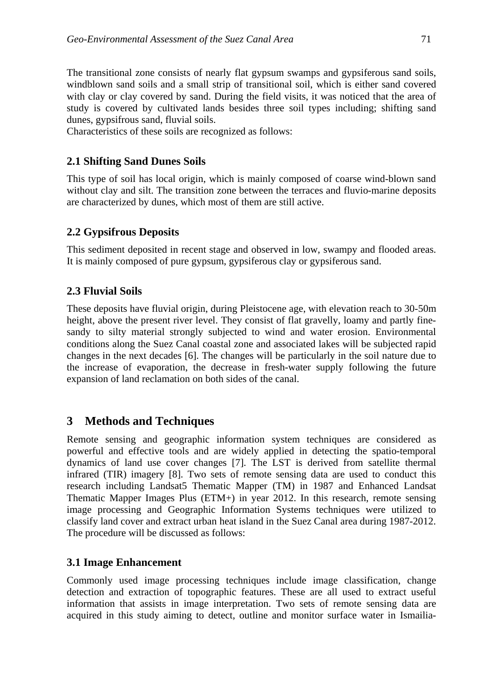The transitional zone consists of nearly flat gypsum swamps and gypsiferous sand soils, windblown sand soils and a small strip of transitional soil, which is either sand covered with clay or clay covered by sand. During the field visits, it was noticed that the area of study is covered by cultivated lands besides three soil types including; shifting sand dunes, gypsifrous sand, fluvial soils.

Characteristics of these soils are recognized as follows:

## **2.1 Shifting Sand Dunes Soils**

This type of soil has local origin, which is mainly composed of coarse wind-blown sand without clay and silt. The transition zone between the terraces and fluvio-marine deposits are characterized by dunes, which most of them are still active.

# **2.2 Gypsifrous Deposits**

This sediment deposited in recent stage and observed in low, swampy and flooded areas. It is mainly composed of pure gypsum, gypsiferous clay or gypsiferous sand.

# **2.3 Fluvial Soils**

These deposits have fluvial origin, during Pleistocene age, with elevation reach to 30-50m height, above the present river level. They consist of flat gravelly, loamy and partly finesandy to silty material strongly subjected to wind and water erosion. Environmental conditions along the Suez Canal coastal zone and associated lakes will be subjected rapid changes in the next decades [6]. The changes will be particularly in the soil nature due to the increase of evaporation, the decrease in fresh-water supply following the future expansion of land reclamation on both sides of the canal.

# **3 Methods and Techniques**

Remote sensing and geographic information system techniques are considered as powerful and effective tools and are widely applied in detecting the spatio-temporal dynamics of land use cover changes [7]. The LST is derived from satellite thermal infrared (TIR) imagery [8]. Two sets of remote sensing data are used to conduct this research including Landsat5 Thematic Mapper (TM) in 1987 and Enhanced Landsat Thematic Mapper Images Plus (ETM+) in year 2012. In this research, remote sensing image processing and Geographic Information Systems techniques were utilized to classify land cover and extract urban heat island in the Suez Canal area during 1987-2012. The procedure will be discussed as follows:

## **3.1 Image Enhancement**

Commonly used image processing techniques include image classification, change detection and extraction of topographic features. These are all used to extract useful information that assists in image interpretation. Two sets of remote sensing data are acquired in this study aiming to detect, outline and monitor surface water in Ismailia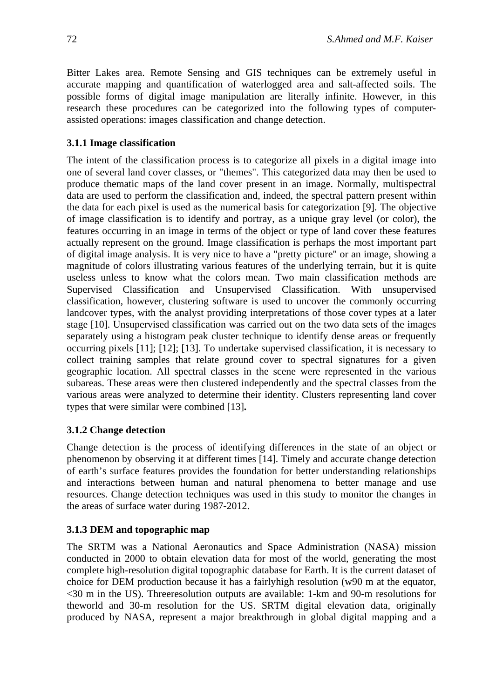Bitter Lakes area. Remote Sensing and GIS techniques can be extremely useful in accurate mapping and quantification of waterlogged area and salt-affected soils. The possible forms of digital image manipulation are literally infinite. However, in this research these procedures can be categorized into the following types of computerassisted operations: images classification and change detection.

#### **3.1.1 Image classification**

The intent of the classification process is to categorize all pixels in a digital image into one of several land cover classes, or "themes". This categorized data may then be used to produce thematic maps of the land cover present in an image. Normally, multispectral data are used to perform the classification and, indeed, the spectral pattern present within the data for each pixel is used as the numerical basis for categorization [9]. The objective of image classification is to identify and portray, as a unique gray level (or color), the features occurring in an image in terms of the object or type of land cover these features actually represent on the ground. Image classification is perhaps the most important part of digital image analysis. It is very nice to have a "pretty picture" or an image, showing a magnitude of colors illustrating various features of the underlying terrain, but it is quite useless unless to know what the colors mean. Two main classification methods are Supervised Classification and Unsupervised Classification. With unsupervised classification, however, clustering software is used to uncover the commonly occurring landcover types, with the analyst providing interpretations of those cover types at a later stage [10]. Unsupervised classification was carried out on the two data sets of the images separately using a histogram peak cluster technique to identify dense areas or frequently occurring pixels [11]; [12]; [13]. To undertake supervised classification, it is necessary to collect training samples that relate ground cover to spectral signatures for a given geographic location. All spectral classes in the scene were represented in the various subareas. These areas were then clustered independently and the spectral classes from the various areas were analyzed to determine their identity. Clusters representing land cover types that were similar were combined [13]**.**

### **3.1.2 Change detection**

Change detection is the process of identifying differences in the state of an object or phenomenon by observing it at different times [14]. Timely and accurate change detection of earth's surface features provides the foundation for better understanding relationships and interactions between human and natural phenomena to better manage and use resources. Change detection techniques was used in this study to monitor the changes in the areas of surface water during 1987-2012.

### **3.1.3 DEM and topographic map**

The SRTM was a National Aeronautics and Space Administration (NASA) mission conducted in 2000 to obtain elevation data for most of the world, generating the most complete high-resolution digital topographic database for Earth. It is the current dataset of choice for DEM production because it has a fairlyhigh resolution (w90 m at the equator, <30 m in the US). Threeresolution outputs are available: 1-km and 90-m resolutions for theworld and 30-m resolution for the US. SRTM digital elevation data, originally produced by NASA, represent a major breakthrough in global digital mapping and a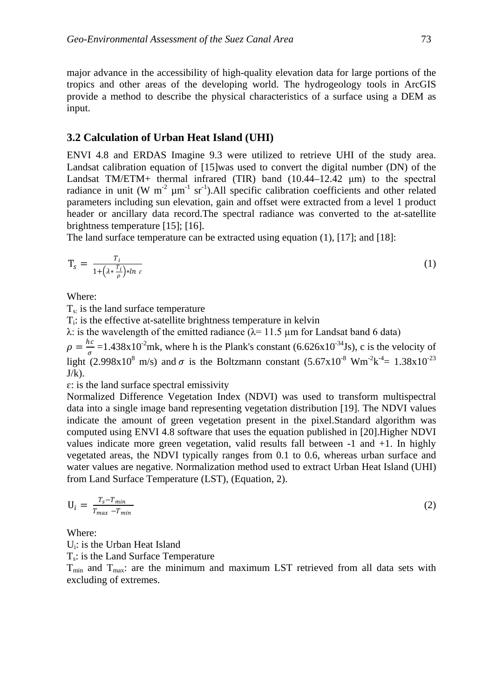major advance in the accessibility of high-quality elevation data for large portions of the tropics and other areas of the developing world. The hydrogeology tools in ArcGIS provide a method to describe the physical characteristics of a surface using a DEM as input.

#### **3.2 Calculation of Urban Heat Island (UHI)**

ENVI 4.8 and ERDAS Imagine 9.3 were utilized to retrieve UHI of the study area. Landsat calibration equation of [15]was used to convert the digital number (DN) of the Landsat TM/ETM+ thermal infrared (TIR) band  $(10.44-12.42 \mu m)$  to the spectral radiance in unit (W  $m^{-2} \mu m^{-1}$  sr<sup>-1</sup>). All specific calibration coefficients and other related parameters including sun elevation, gain and offset were extracted from a level 1 product header or ancillary data record.The spectral radiance was converted to the at-satellite brightness temperature [15]; [16].

The land surface temperature can be extracted using equation (1), [17]; and [18]:

$$
T_{\mathcal{S}} = \frac{T_i}{1 + \left(\lambda \cdot \frac{T_i}{\rho}\right) \cdot \ln \varepsilon} \tag{1}
$$

Where:

 $T<sub>si</sub>$  is the land surface temperature

Ti: is the effective at-satellite brightness temperature in kelvin

λ: is the wavelength of the emitted radiance ( $λ= 11.5 \mu m$  for Landsat band 6 data)

 $\rho = \frac{hc}{\sigma} = 1.438 \times 10^{-2}$  mk, where h is the Plank's constant (6.626x10<sup>-34</sup>Js), c is the velocity of light (2.998x10<sup>8</sup> m/s) and  $\sigma$  is the Boltzmann constant (5.67x10<sup>-8</sup> Wm<sup>-2</sup>k<sup>-4</sup>= 1.38x10<sup>-23</sup>  $J/k$ ).

 $\varepsilon$ : is the land surface spectral emissivity

Normalized Difference Vegetation Index (NDVI) was used to transform multispectral data into a single image band representing vegetation distribution [19]. The NDVI values indicate the amount of green vegetation present in the pixel.Standard algorithm was computed using ENVI 4.8 software that uses the equation published in [20].Higher NDVI values indicate more green vegetation, valid results fall between -1 and +1. In highly vegetated areas, the NDVI typically ranges from 0.1 to 0.6, whereas urban surface and water values are negative. Normalization method used to extract Urban Heat Island (UHI) from Land Surface Temperature (LST), (Equation, 2).

$$
U_i = \frac{T_s - T_{min}}{T_{max} - T_{min}}\tag{2}
$$

Where:

Ui: is the Urban Heat Island

 $T_s$ : is the Land Surface Temperature

 $T_{min}$  and  $T_{max}$ : are the minimum and maximum LST retrieved from all data sets with excluding of extremes.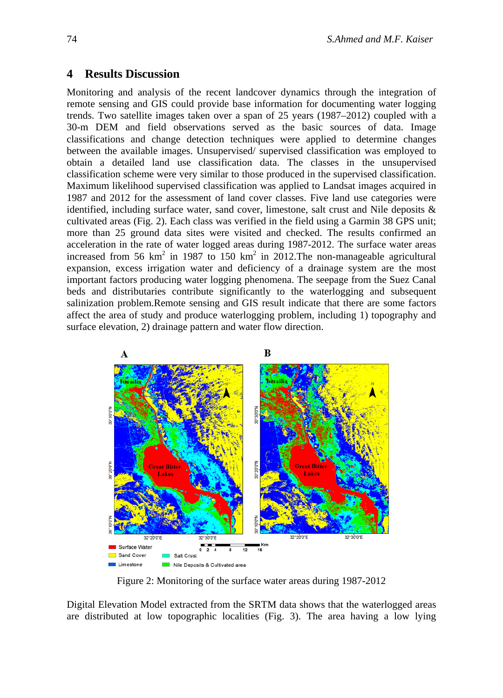#### **4 Results Discussion**

Monitoring and analysis of the recent landcover dynamics through the integration of remote sensing and GIS could provide base information for documenting water logging trends. Two satellite images taken over a span of 25 years (1987–2012) coupled with a 30-m DEM and field observations served as the basic sources of data. Image classifications and change detection techniques were applied to determine changes between the available images. Unsupervised/ supervised classification was employed to obtain a detailed land use classification data. The classes in the unsupervised classification scheme were very similar to those produced in the supervised classification. Maximum likelihood supervised classification was applied to Landsat images acquired in 1987 and 2012 for the assessment of land cover classes. Five land use categories were identified, including surface water, sand cover, limestone, salt crust and Nile deposits & cultivated areas (Fig. 2). Each class was verified in the field using a Garmin 38 GPS unit; more than 25 ground data sites were visited and checked. The results confirmed an acceleration in the rate of water logged areas during 1987-2012. The surface water areas increased from 56 km<sup>2</sup> in 1987 to 150 km<sup>2</sup> in 2012. The non-manageable agricultural expansion, excess irrigation water and deficiency of a drainage system are the most important factors producing water logging phenomena. The seepage from the Suez Canal beds and distributaries contribute significantly to the waterlogging and subsequent salinization problem.Remote sensing and GIS result indicate that there are some factors affect the area of study and produce waterlogging problem, including 1) topography and surface elevation, 2) drainage pattern and water flow direction.



Figure 2: Monitoring of the surface water areas during 1987-2012

Digital Elevation Model extracted from the SRTM data shows that the waterlogged areas are distributed at low topographic localities (Fig. 3). The area having a low lying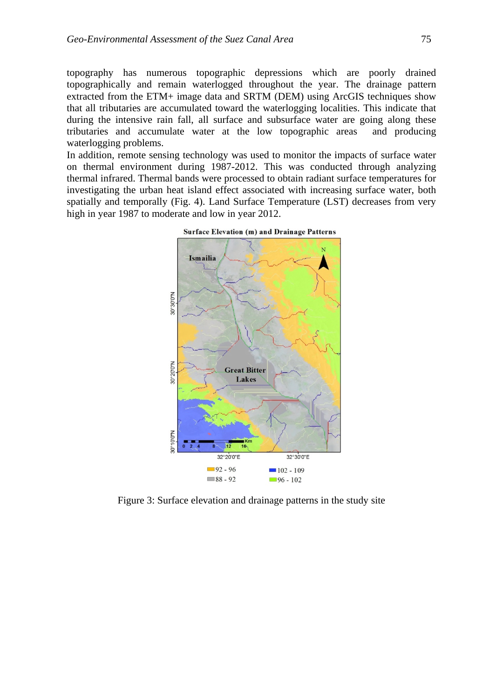topography has numerous topographic depressions which are poorly drained topographically and remain waterlogged throughout the year. The drainage pattern extracted from the ETM+ image data and SRTM (DEM) using ArcGIS techniques show that all tributaries are accumulated toward the waterlogging localities. This indicate that during the intensive rain fall, all surface and subsurface water are going along these tributaries and accumulate water at the low topographic areas and producing waterlogging problems.

In addition, remote sensing technology was used to monitor the impacts of surface water on thermal environment during 1987-2012. This was conducted through analyzing thermal infrared. Thermal bands were processed to obtain radiant surface temperatures for investigating the urban heat island effect associated with increasing surface water, both spatially and temporally (Fig. 4). Land Surface Temperature (LST) decreases from very high in year 1987 to moderate and low in year 2012.



Figure 3: Surface elevation and drainage patterns in the study site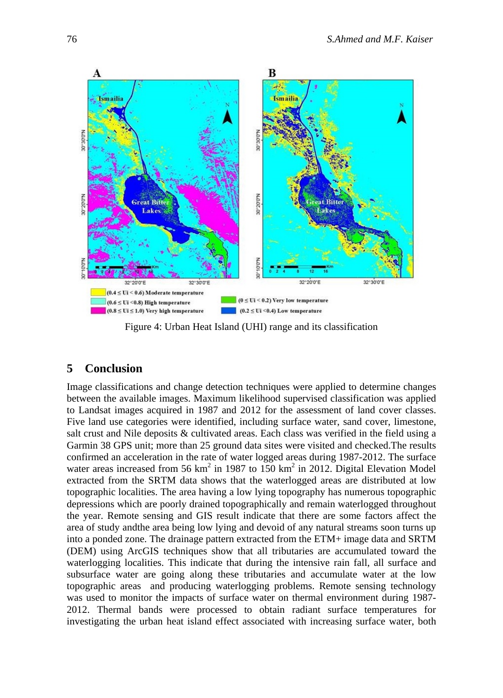

Figure 4: Urban Heat Island (UHI) range and its classification

## **5 Conclusion**

Image classifications and change detection techniques were applied to determine changes between the available images. Maximum likelihood supervised classification was applied to Landsat images acquired in 1987 and 2012 for the assessment of land cover classes. Five land use categories were identified, including surface water, sand cover, limestone, salt crust and Nile deposits & cultivated areas. Each class was verified in the field using a Garmin 38 GPS unit; more than 25 ground data sites were visited and checked.The results confirmed an acceleration in the rate of water logged areas during 1987-2012. The surface water areas increased from 56  $km^2$  in 1987 to 150  $km^2$  in 2012. Digital Elevation Model extracted from the SRTM data shows that the waterlogged areas are distributed at low topographic localities. The area having a low lying topography has numerous topographic depressions which are poorly drained topographically and remain waterlogged throughout the year. Remote sensing and GIS result indicate that there are some factors affect the area of study andthe area being low lying and devoid of any natural streams soon turns up into a ponded zone. The drainage pattern extracted from the ETM+ image data and SRTM (DEM) using ArcGIS techniques show that all tributaries are accumulated toward the waterlogging localities. This indicate that during the intensive rain fall, all surface and subsurface water are going along these tributaries and accumulate water at the low topographic areas and producing waterlogging problems. Remote sensing technology was used to monitor the impacts of surface water on thermal environment during 1987- 2012. Thermal bands were processed to obtain radiant surface temperatures for investigating the urban heat island effect associated with increasing surface water, both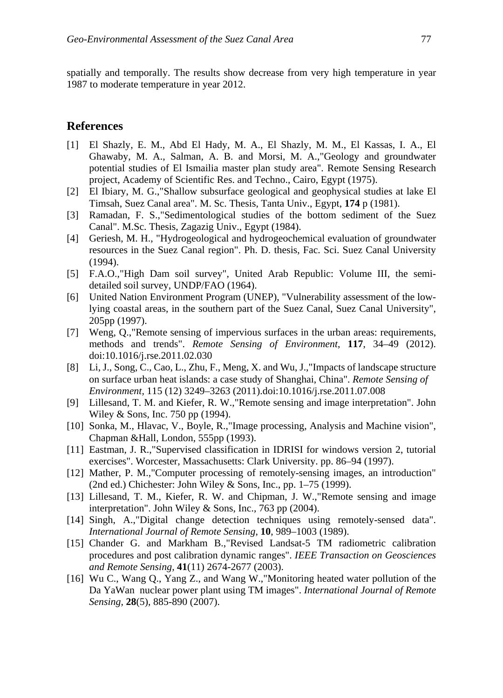spatially and temporally. The results show decrease from very high temperature in year 1987 to moderate temperature in year 2012.

#### **References**

- [1] El Shazly, E. M., Abd El Hady, M. A., El Shazly, M. M., El Kassas, I. A., El Ghawaby, M. A., Salman, A. B. and Morsi, M. A.,"Geology and groundwater potential studies of El Ismailia master plan study area". Remote Sensing Research project, Academy of Scientific Res. and Techno., Cairo, Egypt (1975).
- [2] El Ibiary, M. G.,"Shallow subsurface geological and geophysical studies at lake El Timsah, Suez Canal area". M. Sc. Thesis, Tanta Univ., Egypt, **174** p (1981).
- [3] Ramadan, F. S.,"Sedimentological studies of the bottom sediment of the Suez Canal". M.Sc. Thesis, Zagazig Univ., Egypt (1984).
- [4] Geriesh, M. H., "Hydrogeological and hydrogeochemical evaluation of groundwater resources in the Suez Canal region". Ph. D. thesis, Fac. Sci. Suez Canal University (1994).
- [5] F.A.O.,"High Dam soil survey", United Arab Republic: Volume III, the semidetailed soil survey, UNDP/FAO (1964).
- [6] United Nation Environment Program (UNEP), "Vulnerability assessment of the lowlying coastal areas, in the southern part of the Suez Canal, Suez Canal University", 205pp (1997).
- [7] Weng, Q.,"Remote sensing of impervious surfaces in the urban areas: requirements, methods and trends". *Remote Sensing of Environment*, **117**, 34–49 (2012). doi:10.1016/j.rse.2011.02.030
- [8] Li, J., Song, C., Cao, L., Zhu, F., Meng, X. and Wu, J.,"Impacts of landscape structure on surface urban heat islands: a case study of Shanghai, China". *Remote Sensing of Environment,* 115 (12) 3249–3263 (2011).doi:10.1016/j.rse.2011.07.008
- [9] Lillesand, T. M. and Kiefer, R. W.,"Remote sensing and image interpretation". John Wiley & Sons, Inc. 750 pp (1994).
- [10] Sonka, M., Hlavac, V., Boyle, R.,"Image processing, Analysis and Machine vision", Chapman &Hall, London, 555pp (1993).
- [11] Eastman, J. R.,"Supervised classification in IDRISI for windows version 2, tutorial exercises". Worcester, Massachusetts: Clark University. pp. 86–94 (1997).
- [12] Mather, P. M.,"Computer processing of remotely-sensing images, an introduction" (2nd ed.) Chichester: John Wiley & Sons, Inc., pp.  $1-75$  (1999).
- [13] Lillesand, T. M., Kiefer, R. W. and Chipman, J. W.,"Remote sensing and image interpretation". John Wiley & Sons, Inc., 763 pp (2004).
- [14] Singh, A.,"Digital change detection techniques using remotely-sensed data". *International Journal of Remote Sensing*, **10**, 989–1003 (1989).
- [15] Chander G. and Markham B.,"Revised Landsat-5 TM radiometric calibration procedures and post calibration dynamic ranges". *IEEE Transaction on Geosciences and Remote Sensing,* **41**(11) 2674-2677 (2003).
- [16] Wu C., Wang Q., Yang Z., and Wang W.,"Monitoring heated water pollution of the Da YaWan nuclear power plant using TM images". *International Journal of Remote Sensing,* **28**(5), 885-890 (2007).